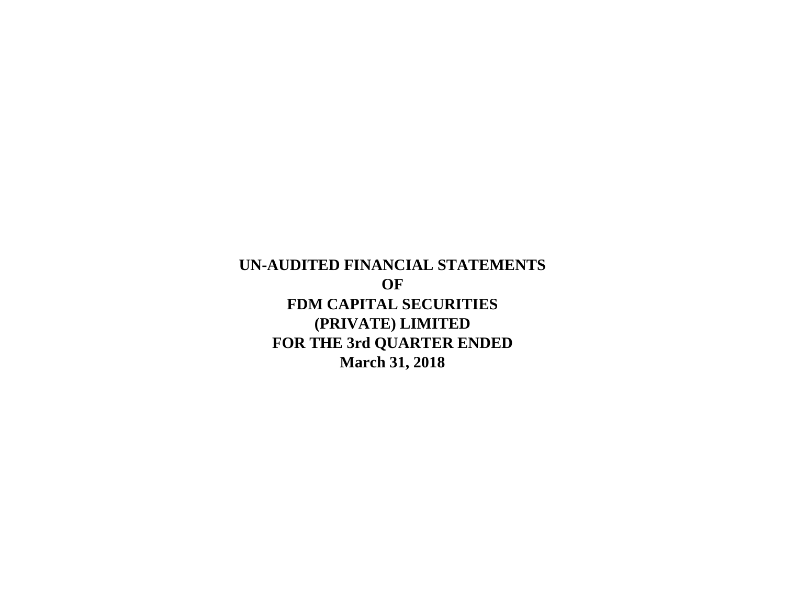**March 31, 2018 UN-AUDITED FINANCIAL STATEMENTS OF FDM CAPITAL SECURITIES (PRIVATE) LIMITED FOR THE 3rd QUARTER ENDED**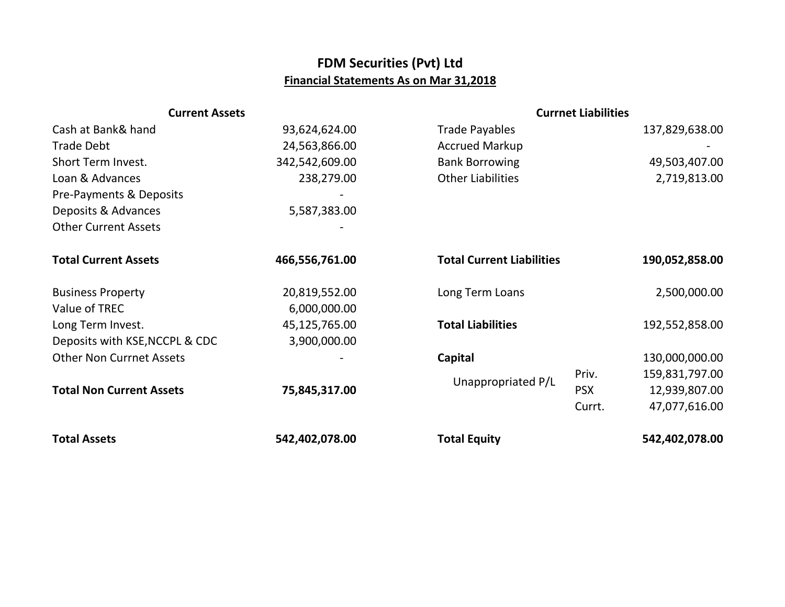## **FDM Securities (Pvt) Ltd Financial Statements As on Mar 31,2018**

| <b>Current Assets</b>           |                | <b>Currnet Liabilities</b>       |            |                |
|---------------------------------|----------------|----------------------------------|------------|----------------|
| Cash at Bank& hand              | 93,624,624.00  | <b>Trade Payables</b>            |            | 137,829,638.00 |
| <b>Trade Debt</b>               | 24,563,866.00  | <b>Accrued Markup</b>            |            |                |
| Short Term Invest.              | 342,542,609.00 | <b>Bank Borrowing</b>            |            | 49,503,407.00  |
| Loan & Advances                 | 238,279.00     | <b>Other Liabilities</b>         |            | 2,719,813.00   |
| Pre-Payments & Deposits         |                |                                  |            |                |
| Deposits & Advances             | 5,587,383.00   |                                  |            |                |
| <b>Other Current Assets</b>     |                |                                  |            |                |
|                                 |                |                                  |            |                |
| <b>Total Current Assets</b>     | 466,556,761.00 | <b>Total Current Liabilities</b> |            | 190,052,858.00 |
|                                 |                |                                  |            |                |
| <b>Business Property</b>        | 20,819,552.00  | Long Term Loans                  |            | 2,500,000.00   |
| Value of TREC                   | 6,000,000.00   |                                  |            |                |
| Long Term Invest.               | 45,125,765.00  | <b>Total Liabilities</b>         |            | 192,552,858.00 |
| Deposits with KSE, NCCPL & CDC  | 3,900,000.00   |                                  |            |                |
| <b>Other Non Currnet Assets</b> |                | Capital                          |            | 130,000,000.00 |
| <b>Total Non Current Assets</b> |                | Unappropriated P/L               | Priv.      | 159,831,797.00 |
|                                 | 75,845,317.00  |                                  | <b>PSX</b> | 12,939,807.00  |
|                                 |                |                                  | Currt.     | 47,077,616.00  |
|                                 |                |                                  |            |                |
| <b>Total Assets</b>             | 542,402,078.00 | <b>Total Equity</b>              |            | 542,402,078.00 |